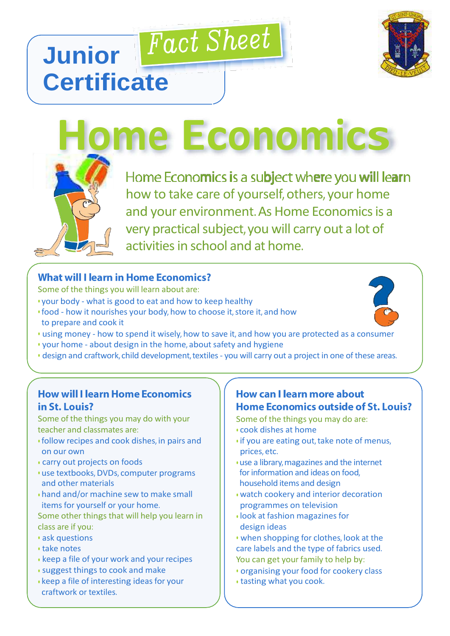# **Fact Sheet Junior Certificate**



Home Economics is a subject where you will learn **Home Economics** how to take care of yourself, others, your home and your environment. As Home Economics is a very practical subject, you will carry out a lot of

**What will I learn in Home Economics?** 

- Some of the things you will learn about are:
- your body what is good to eat and how to keep healthy
- food how it nourishes your body, how to choose it, store it, and how to prepare and cook it
- using money how to spend it wisely, how to save it, and how you are protected as a consumer

activities in school and at home.

- your home about design in the home, about safety and hygiene
- design and craftwork, child development, textiles you will carry out a project in one of these areas.

#### **How will I learn Home Economics** in St. Louis?

Some of the things you may do with your teacher and classmates are:

- follow recipes and cook dishes, in pairs and on our own
- carry out projects on foods
- use textbooks, DVDs, computer programs and other materials
- hand and/or machine sew to make small items for yourself or your home.

Some other things that will help you learn in class are if you:

- ask questions
- take notes
- keep a file of your work and your recipes
- suggest things to cook and make
- keep a file of interesting ideas for your craftwork or textiles.

## How can I learn more about Home Economics outside of St. Louis?

Some of the things you may do are:

- cook dishes at home
- if you are eating out, take note of menus, prices, etc.
- use a library,magazines and the internet for information and ideas on food, household items and design
- watch cookery and interior decoration programmes on television
- look at fashion magazines for design ideas
- when shopping for clothes, look at the care labels and the type of fabrics used. You can get your family to help by:
- organising your food for cookery class
- tasting what you cook.